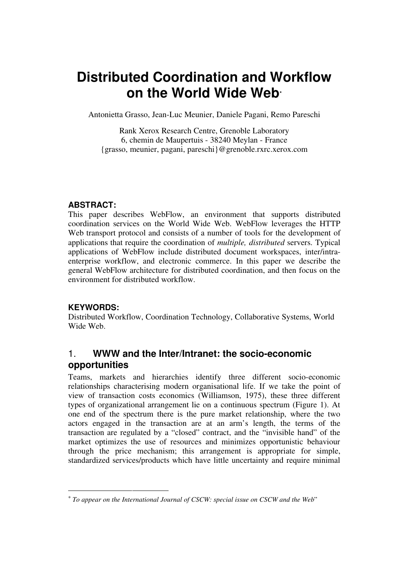# Distributed Coordination and Workflow on the World Wide Web-

Antonietta Grasso, Jean-Luc Meunier, Daniele Pagani, Remo Pareschi

Rank Xerox Research Centre, Grenoble Laboratory 6, chemin de Maupertuis - 38240 Meylan - France {grasso, meunier, pagani, pareschi}@grenoble.rxrc.xerox.com

### ABSTRACT:

This paper describes WebFlow, an environment that supports distributed coordination services on the World Wide Web. WebFlow leverages the HTTP Web transport protocol and consists of a number of tools for the development of applications that require the coordination of multiple, distributed servers. Typical applications of WebFlow include distributed document workspaces, inter/intraenterprise workflow, and electronic commerce. In this paper we describe the general WebFlow architecture for distributed coordination, and then focus on the environment for distributed workflow.

### KEYWORDS:

1

Distributed Workflow, Coordination Technology, Collaborative Systems, World Wide Web.

# 1. WWW and the Inter/Intranet: the socio-economic opportunities

Teams, markets and hierarchies identify three different socio-economic relationships characterising modern organisational life. If we take the point of view of transaction costs economics (Williamson, 1975), these three different types of organizational arrangement lie on a continuous spectrum (Figure 1). At one end of the spectrum there is the pure market relationship, where the two actors engaged in the transaction are at an arm's length, the terms of the transaction are regulated by a "closed" contract, and the "invisible hand" of the market optimizes the use of resources and minimizes opportunistic behaviour through the price mechanism; this arrangement is appropriate for simple, standardized services/products which have little uncertainty and require minimal

 $*$  To appear on the International Journal of CSCW: special issue on CSCW and the Web"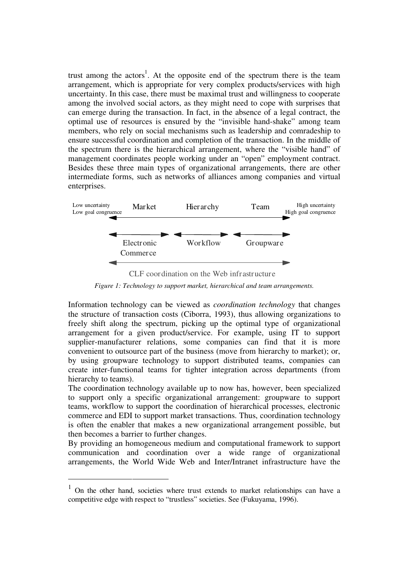trust among the actors<sup>1</sup>. At the opposite end of the spectrum there is the team arrangement, which is appropriate for very complex products/services with high uncertainty. In this case, there must be maximal trust and willingness to cooperate among the involved social actors, as they might need to cope with surprises that can emerge during the transaction. In fact, in the absence of a legal contract, the optimal use of resources is ensured by the "invisible hand-shake" among team members, who rely on social mechanisms such as leadership and comradeship to ensure successful coordination and completion of the transaction. In the middle of the spectrum there is the hierarchical arrangement, where the "visible hand" of management coordinates people working under an "open" employment contract. Besides these three main types of organizational arrangements, there are other intermediate forms, such as networks of alliances among companies and virtual enterprises.



CLF coordination on the Web infrastructure Figure 1: Technology to support market, hierarchical and team arrangements.

Information technology can be viewed as coordination technology that changes the structure of transaction costs (Ciborra, 1993), thus allowing organizations to freely shift along the spectrum, picking up the optimal type of organizational arrangement for a given product/service. For example, using IT to support supplier-manufacturer relations, some companies can find that it is more convenient to outsource part of the business (move from hierarchy to market); or, by using groupware technology to support distributed teams, companies can create inter-functional teams for tighter integration across departments (from hierarchy to teams).

The coordination technology available up to now has, however, been specialized to support only a specific organizational arrangement: groupware to support teams, workflow to support the coordination of hierarchical processes, electronic commerce and EDI to support market transactions. Thus, coordination technology is often the enabler that makes a new organizational arrangement possible, but then becomes a barrier to further changes.

By providing an homogeneous medium and computational framework to support communication and coordination over a wide range of organizational arrangements, the World Wide Web and Inter/Intranet infrastructure have the

j

<sup>&</sup>lt;sup>1</sup> On the other hand, societies where trust extends to market relationships can have a competitive edge with respect to "trustless" societies. See (Fukuyama, 1996).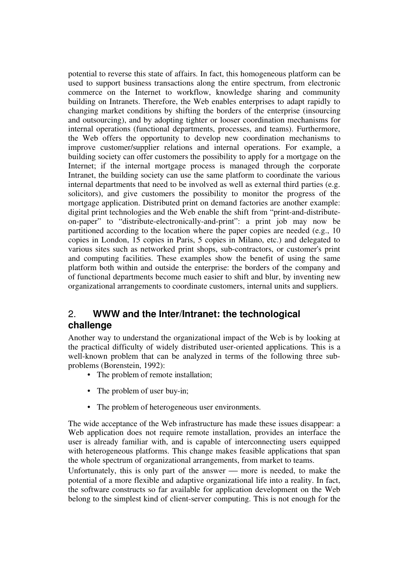potential to reverse this state of affairs. In fact, this homogeneous platform can be used to support business transactions along the entire spectrum, from electronic commerce on the Internet to workflow, knowledge sharing and community building on Intranets. Therefore, the Web enables enterprises to adapt rapidly to changing market conditions by shifting the borders of the enterprise (insourcing and outsourcing), and by adopting tighter or looser coordination mechanisms for internal operations (functional departments, processes, and teams). Furthermore, the Web offers the opportunity to develop new coordination mechanisms to improve customer/supplier relations and internal operations. For example, a building society can offer customers the possibility to apply for a mortgage on the Internet; if the internal mortgage process is managed through the corporate Intranet, the building society can use the same platform to coordinate the various internal departments that need to be involved as well as external third parties (e.g. solicitors), and give customers the possibility to monitor the progress of the mortgage application. Distributed print on demand factories are another example: digital print technologies and the Web enable the shift from "print-and-distributeon-paper" to "distribute-electronically-and-print": a print job may now be partitioned according to the location where the paper copies are needed (e.g., 10 copies in London, 15 copies in Paris, 5 copies in Milano, etc.) and delegated to various sites such as networked print shops, sub-contractors, or customer's print and computing facilities. These examples show the benefit of using the same platform both within and outside the enterprise: the borders of the company and of functional departments become much easier to shift and blur, by inventing new organizational arrangements to coordinate customers, internal units and suppliers.

# 2. WWW and the Inter/Intranet: the technological challenge

Another way to understand the organizational impact of the Web is by looking at the practical difficulty of widely distributed user-oriented applications. This is a well-known problem that can be analyzed in terms of the following three subproblems (Borenstein, 1992):

- The problem of remote installation;
- The problem of user buy-in;
- The problem of heterogeneous user environments.

The wide acceptance of the Web infrastructure has made these issues disappear: a Web application does not require remote installation, provides an interface the user is already familiar with, and is capable of interconnecting users equipped with heterogeneous platforms. This change makes feasible applications that span the whole spectrum of organizational arrangements, from market to teams.

Unfortunately, this is only part of the answer — more is needed, to make the potential of a more flexible and adaptive organizational life into a reality. In fact, the software constructs so far available for application development on the Web belong to the simplest kind of client-server computing. This is not enough for the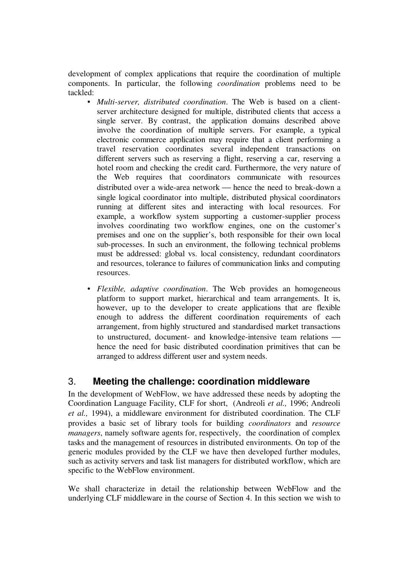development of complex applications that require the coordination of multiple components. In particular, the following coordination problems need to be tackled:

- *Multi-server, distributed coordination*. The Web is based on a clientserver architecture designed for multiple, distributed clients that access a single server. By contrast, the application domains described above involve the coordination of multiple servers. For example, a typical electronic commerce application may require that a client performing a travel reservation coordinates several independent transactions on different servers such as reserving a flight, reserving a car, reserving a hotel room and checking the credit card. Furthermore, the very nature of the Web requires that coordinators communicate with resources distributed over a wide-area network — hence the need to break-down a single logical coordinator into multiple, distributed physical coordinators running at different sites and interacting with local resources. For example, a workflow system supporting a customer-supplier process involves coordinating two workflow engines, one on the customer's premises and one on the supplier's, both responsible for their own local sub-processes. In such an environment, the following technical problems must be addressed: global vs. local consistency, redundant coordinators and resources, tolerance to failures of communication links and computing resources.
- Flexible, adaptive coordination. The Web provides an homogeneous platform to support market, hierarchical and team arrangements. It is, however, up to the developer to create applications that are flexible enough to address the different coordination requirements of each arrangement, from highly structured and standardised market transactions to unstructured, document- and knowledge-intensive team relations hence the need for basic distributed coordination primitives that can be arranged to address different user and system needs.

# 3. Meeting the challenge: coordination middleware

In the development of WebFlow, we have addressed these needs by adopting the Coordination Language Facility, CLF for short, (Andreoli et al., 1996; Andreoli et al., 1994), a middleware environment for distributed coordination. The CLF provides a basic set of library tools for building coordinators and resource managers, namely software agents for, respectively, the coordination of complex tasks and the management of resources in distributed environments. On top of the generic modules provided by the CLF we have then developed further modules, such as activity servers and task list managers for distributed workflow, which are specific to the WebFlow environment.

We shall characterize in detail the relationship between WebFlow and the underlying CLF middleware in the course of Section 4. In this section we wish to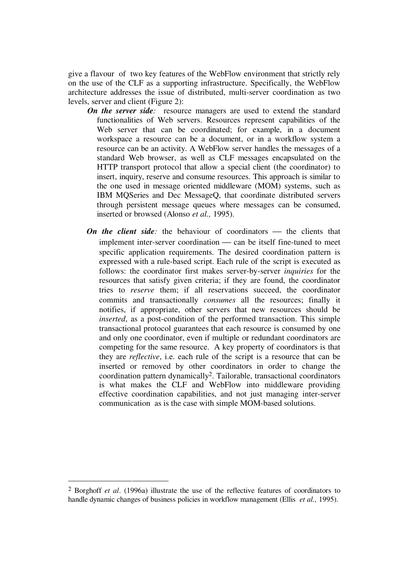give a flavour of two key features of the WebFlow environment that strictly rely on the use of the CLF as a supporting infrastructure. Specifically, the WebFlow architecture addresses the issue of distributed, multi-server coordination as two levels, server and client (Figure 2):

- On the server side: resource managers are used to extend the standard functionalities of Web servers. Resources represent capabilities of the Web server that can be coordinated; for example, in a document workspace a resource can be a document, or in a workflow system a resource can be an activity. A WebFlow server handles the messages of a standard Web browser, as well as CLF messages encapsulated on the HTTP transport protocol that allow a special client (the coordinator) to insert, inquiry, reserve and consume resources. This approach is similar to the one used in message oriented middleware (MOM) systems, such as IBM MQSeries and Dec MessageQ, that coordinate distributed servers through persistent message queues where messages can be consumed, inserted or browsed (Alonso et al., 1995).
- On the client side: the behaviour of coordinators  $-$  the clients that implement inter-server coordination — can be itself fine-tuned to meet specific application requirements. The desired coordination pattern is expressed with a rule-based script. Each rule of the script is executed as follows: the coordinator first makes server-by-server inquiries for the resources that satisfy given criteria; if they are found, the coordinator tries to reserve them; if all reservations succeed, the coordinator commits and transactionally consumes all the resources; finally it notifies, if appropriate, other servers that new resources should be inserted, as a post-condition of the performed transaction. This simple transactional protocol guarantees that each resource is consumed by one and only one coordinator, even if multiple or redundant coordinators are competing for the same resource. A key property of coordinators is that they are reflective, i.e. each rule of the script is a resource that can be inserted or removed by other coordinators in order to change the coordination pattern dynamically2. Tailorable, transactional coordinators is what makes the CLF and WebFlow into middleware providing effective coordination capabilities, and not just managing inter-server communication as is the case with simple MOM-based solutions.

1

 $2$  Borghoff *et al.* (1996a) illustrate the use of the reflective features of coordinators to handle dynamic changes of business policies in workflow management (Ellis *et al.*, 1995).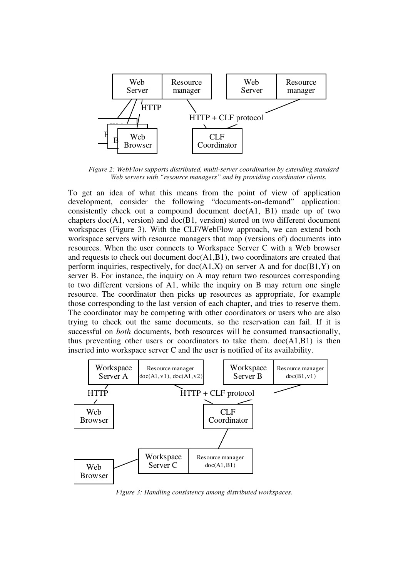

Figure 2: WebFlow supports distributed, multi-server coordination by extending standard Web servers with "resource managers" and by providing coordinator clients.

To get an idea of what this means from the point of view of application development, consider the following "documents-on-demand" application: consistently check out a compound document  $doc(A1, B1)$  made up of two chapters doc(A1, version) and doc(B1, version) stored on two different document workspaces (Figure 3). With the CLF/WebFlow approach, we can extend both workspace servers with resource managers that map (versions of) documents into resources. When the user connects to Workspace Server C with a Web browser and requests to check out document doc(A1,B1), two coordinators are created that perform inquiries, respectively, for  $doc(A1,X)$  on server A and for  $doc(B1,Y)$  on server B. For instance, the inquiry on A may return two resources corresponding to two different versions of A1, while the inquiry on B may return one single resource. The coordinator then picks up resources as appropriate, for example those corresponding to the last version of each chapter, and tries to reserve them. The coordinator may be competing with other coordinators or users who are also trying to check out the same documents, so the reservation can fail. If it is successful on *both* documents, both resources will be consumed transactionally, thus preventing other users or coordinators to take them.  $doc(A1,B1)$  is then inserted into workspace server C and the user is notified of its availability.



Figure 3: Handling consistency among distributed workspaces.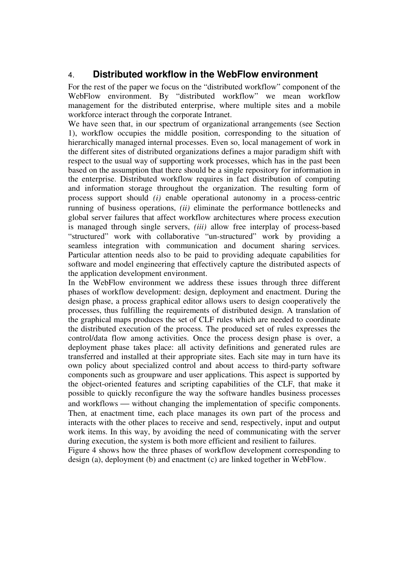### 4. Distributed workflow in the WebFlow environment

For the rest of the paper we focus on the "distributed workflow" component of the WebFlow environment. By "distributed workflow" we mean workflow management for the distributed enterprise, where multiple sites and a mobile workforce interact through the corporate Intranet.

We have seen that, in our spectrum of organizational arrangements (see Section 1), workflow occupies the middle position, corresponding to the situation of hierarchically managed internal processes. Even so, local management of work in the different sites of distributed organizations defines a major paradigm shift with respect to the usual way of supporting work processes, which has in the past been based on the assumption that there should be a single repository for information in the enterprise. Distributed workflow requires in fact distribution of computing and information storage throughout the organization. The resulting form of process support should (i) enable operational autonomy in a process-centric running of business operations, (ii) eliminate the performance bottlenecks and global server failures that affect workflow architectures where process execution is managed through single servers, (iii) allow free interplay of process-based "structured" work with collaborative "un-structured" work by providing a seamless integration with communication and document sharing services. Particular attention needs also to be paid to providing adequate capabilities for software and model engineering that effectively capture the distributed aspects of the application development environment.

In the WebFlow environment we address these issues through three different phases of workflow development: design, deployment and enactment. During the design phase, a process graphical editor allows users to design cooperatively the processes, thus fulfilling the requirements of distributed design. A translation of the graphical maps produces the set of CLF rules which are needed to coordinate the distributed execution of the process. The produced set of rules expresses the control/data flow among activities. Once the process design phase is over, a deployment phase takes place: all activity definitions and generated rules are transferred and installed at their appropriate sites. Each site may in turn have its own policy about specialized control and about access to third-party software components such as groupware and user applications. This aspect is supported by the object-oriented features and scripting capabilities of the CLF, that make it possible to quickly reconfigure the way the software handles business processes and workflows — without changing the implementation of specific components. Then, at enactment time, each place manages its own part of the process and interacts with the other places to receive and send, respectively, input and output work items. In this way, by avoiding the need of communicating with the server during execution, the system is both more efficient and resilient to failures.

Figure 4 shows how the three phases of workflow development corresponding to design (a), deployment (b) and enactment (c) are linked together in WebFlow.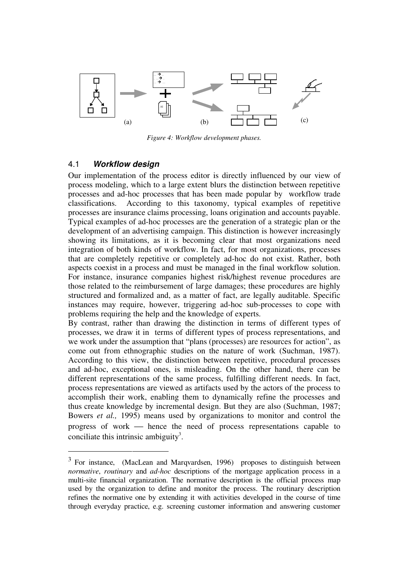

Figure 4: Workflow development phases.

### 4.1 Workflow design

1

Our implementation of the process editor is directly influenced by our view of process modeling, which to a large extent blurs the distinction between repetitive processes and ad-hoc processes that has been made popular by workflow trade classifications. According to this taxonomy, typical examples of repetitive processes are insurance claims processing, loans origination and accounts payable. Typical examples of ad-hoc processes are the generation of a strategic plan or the development of an advertising campaign. This distinction is however increasingly showing its limitations, as it is becoming clear that most organizations need integration of both kinds of workflow. In fact, for most organizations, processes that are completely repetitive or completely ad-hoc do not exist. Rather, both aspects coexist in a process and must be managed in the final workflow solution. For instance, insurance companies highest risk/highest revenue procedures are those related to the reimbursement of large damages; these procedures are highly structured and formalized and, as a matter of fact, are legally auditable. Specific instances may require, however, triggering ad-hoc sub-processes to cope with problems requiring the help and the knowledge of experts.

By contrast, rather than drawing the distinction in terms of different types of processes, we draw it in terms of different types of process representations, and we work under the assumption that "plans (processes) are resources for action", as come out from ethnographic studies on the nature of work (Suchman, 1987). According to this view, the distinction between repetitive, procedural processes and ad-hoc, exceptional ones, is misleading. On the other hand, there can be different representations of the same process, fulfilling different needs. In fact, process representations are viewed as artifacts used by the actors of the process to accomplish their work, enabling them to dynamically refine the processes and thus create knowledge by incremental design. But they are also (Suchman, 1987; Bowers et al., 1995) means used by organizations to monitor and control the progress of work — hence the need of process representations capable to conciliate this intrinsic ambiguity<sup>3</sup>.

 $3$  For instance, (MacLean and Marqvardsen, 1996) proposes to distinguish between normative, routinary and ad-hoc descriptions of the mortgage application process in a multi-site financial organization. The normative description is the official process map used by the organization to define and monitor the process. The routinary description refines the normative one by extending it with activities developed in the course of time through everyday practice, e.g. screening customer information and answering customer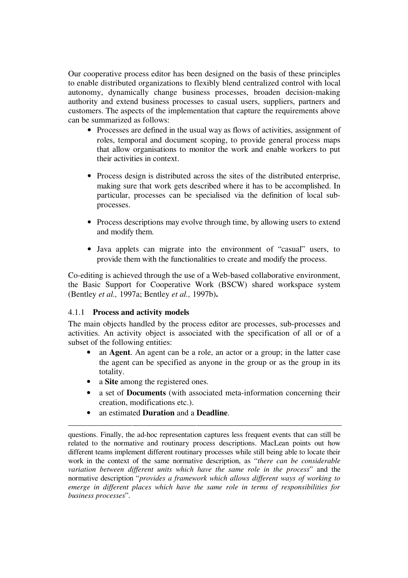Our cooperative process editor has been designed on the basis of these principles to enable distributed organizations to flexibly blend centralized control with local autonomy, dynamically change business processes, broaden decision-making authority and extend business processes to casual users, suppliers, partners and customers. The aspects of the implementation that capture the requirements above can be summarized as follows:

- Processes are defined in the usual way as flows of activities, assignment of roles, temporal and document scoping, to provide general process maps that allow organisations to monitor the work and enable workers to put their activities in context.
- Process design is distributed across the sites of the distributed enterprise, making sure that work gets described where it has to be accomplished. In particular, processes can be specialised via the definition of local subprocesses.
- Process descriptions may evolve through time, by allowing users to extend and modify them.
- Java applets can migrate into the environment of "casual" users, to provide them with the functionalities to create and modify the process.

Co-editing is achieved through the use of a Web-based collaborative environment, the Basic Support for Cooperative Work (BSCW) shared workspace system (Bentley et al., 1997a; Bentley et al., 1997b).

### 4.1.1 Process and activity models

The main objects handled by the process editor are processes, sub-processes and activities. An activity object is associated with the specification of all or of a subset of the following entities:

- an **Agent**. An agent can be a role, an actor or a group; in the latter case the agent can be specified as anyone in the group or as the group in its totality.
- a **Site** among the registered ones.
- a set of **Documents** (with associated meta-information concerning their creation, modifications etc.).
- an estimated Duration and a Deadline.

j questions. Finally, the ad-hoc representation captures less frequent events that can still be related to the normative and routinary process descriptions. MacLean points out how different teams implement different routinary processes while still being able to locate their work in the context of the same normative description, as "there can be considerable variation between different units which have the same role in the process" and the normative description "provides a framework which allows different ways of working to emerge in different places which have the same role in terms of responsibilities for business processes".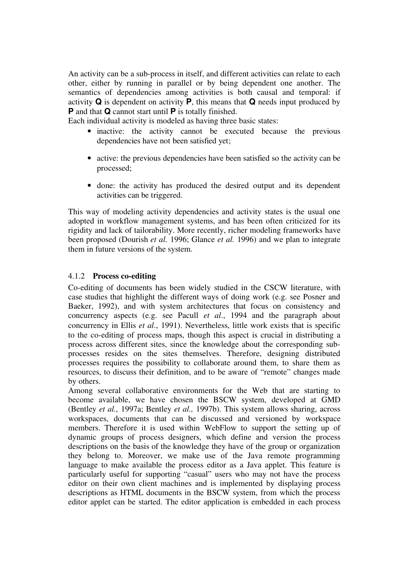An activity can be a sub-process in itself, and different activities can relate to each other, either by running in parallel or by being dependent one another. The semantics of dependencies among activities is both causal and temporal: if activity  $\bf{Q}$  is dependent on activity  $\bf{P}$ , this means that  $\bf{Q}$  needs input produced by P and that Q cannot start until P is totally finished.

Each individual activity is modeled as having three basic states:

- inactive: the activity cannot be executed because the previous dependencies have not been satisfied yet;
- active: the previous dependencies have been satisfied so the activity can be processed;
- done: the activity has produced the desired output and its dependent activities can be triggered.

This way of modeling activity dependencies and activity states is the usual one adopted in workflow management systems, and has been often criticized for its rigidity and lack of tailorability. More recently, richer modeling frameworks have been proposed (Dourish *et al.* 1996; Glance *et al.* 1996) and we plan to integrate them in future versions of the system.

### 4.1.2 Process co-editing

Co-editing of documents has been widely studied in the CSCW literature, with case studies that highlight the different ways of doing work (e.g. see Posner and Baeker, 1992), and with system architectures that focus on consistency and concurrency aspects (e.g. see Pacull et al., 1994 and the paragraph about concurrency in Ellis et al., 1991). Nevertheless, little work exists that is specific to the co-editing of process maps, though this aspect is crucial in distributing a process across different sites, since the knowledge about the corresponding subprocesses resides on the sites themselves. Therefore, designing distributed processes requires the possibility to collaborate around them, to share them as resources, to discuss their definition, and to be aware of "remote" changes made by others.

Among several collaborative environments for the Web that are starting to become available, we have chosen the BSCW system, developed at GMD (Bentley et al., 1997a; Bentley et al., 1997b). This system allows sharing, across workspaces, documents that can be discussed and versioned by workspace members. Therefore it is used within WebFlow to support the setting up of dynamic groups of process designers, which define and version the process descriptions on the basis of the knowledge they have of the group or organization they belong to. Moreover, we make use of the Java remote programming language to make available the process editor as a Java applet. This feature is particularly useful for supporting "casual" users who may not have the process editor on their own client machines and is implemented by displaying process descriptions as HTML documents in the BSCW system, from which the process editor applet can be started. The editor application is embedded in each process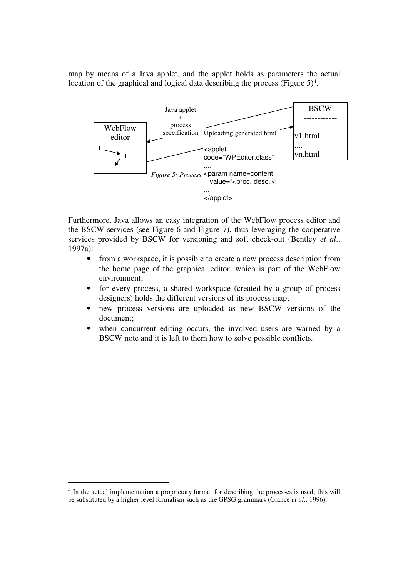map by means of a Java applet, and the applet holds as parameters the actual location of the graphical and logical data describing the process (Figure 5)<sup>4</sup>.



Furthermore, Java allows an easy integration of the WebFlow process editor and the BSCW services (see Figure 6 and Figure 7), thus leveraging the cooperative services provided by BSCW for versioning and soft check-out (Bentley et al., 1997a):

- from a workspace, it is possible to create a new process description from the home page of the graphical editor, which is part of the WebFlow environment;
- for every process, a shared workspace (created by a group of process designers) holds the different versions of its process map;
- new process versions are uploaded as new BSCW versions of the document;
- when concurrent editing occurs, the involved users are warned by a BSCW note and it is left to them how to solve possible conflicts.

1

<sup>&</sup>lt;sup>4</sup> In the actual implementation a proprietary format for describing the processes is used; this will be substituted by a higher level formalism such as the GPSG grammars (Glance et al., 1996).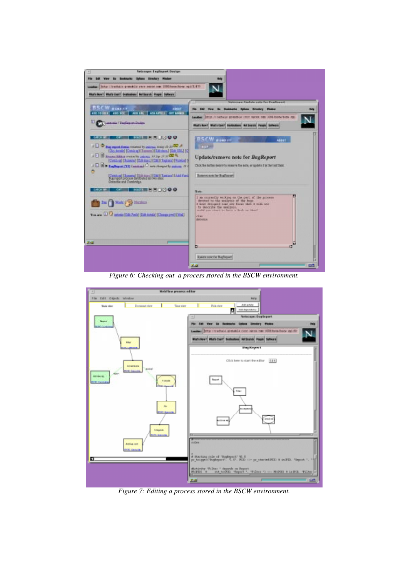

Figure 6: Checking out a process stored in the BSCW environment.



Figure 7: Editing a process stored in the BSCW environment.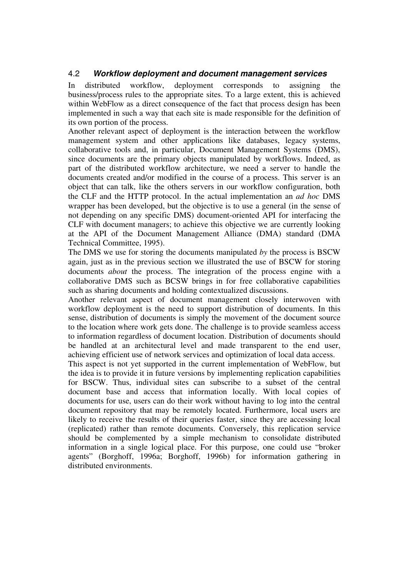### 4.2 Workflow deployment and document management services

In distributed workflow, deployment corresponds to assigning the business/process rules to the appropriate sites. To a large extent, this is achieved within WebFlow as a direct consequence of the fact that process design has been implemented in such a way that each site is made responsible for the definition of its own portion of the process.

Another relevant aspect of deployment is the interaction between the workflow management system and other applications like databases, legacy systems, collaborative tools and, in particular, Document Management Systems (DMS), since documents are the primary objects manipulated by workflows. Indeed, as part of the distributed workflow architecture, we need a server to handle the documents created and/or modified in the course of a process. This server is an object that can talk, like the others servers in our workflow configuration, both the CLF and the HTTP protocol. In the actual implementation an ad hoc DMS wrapper has been developed, but the objective is to use a general (in the sense of not depending on any specific DMS) document-oriented API for interfacing the CLF with document managers; to achieve this objective we are currently looking at the API of the Document Management Alliance (DMA) standard (DMA Technical Committee, 1995).

The DMS we use for storing the documents manipulated by the process is BSCW again, just as in the previous section we illustrated the use of BSCW for storing documents about the process. The integration of the process engine with a collaborative DMS such as BCSW brings in for free collaborative capabilities such as sharing documents and holding contextualized discussions.

Another relevant aspect of document management closely interwoven with workflow deployment is the need to support distribution of documents. In this sense, distribution of documents is simply the movement of the document source to the location where work gets done. The challenge is to provide seamless access to information regardless of document location. Distribution of documents should be handled at an architectural level and made transparent to the end user, achieving efficient use of network services and optimization of local data access.

This aspect is not yet supported in the current implementation of WebFlow, but the idea is to provide it in future versions by implementing replication capabilities for BSCW. Thus, individual sites can subscribe to a subset of the central document base and access that information locally. With local copies of documents for use, users can do their work without having to log into the central document repository that may be remotely located. Furthermore, local users are likely to receive the results of their queries faster, since they are accessing local (replicated) rather than remote documents. Conversely, this replication service should be complemented by a simple mechanism to consolidate distributed information in a single logical place. For this purpose, one could use "broker agents" (Borghoff, 1996a; Borghoff, 1996b) for information gathering in distributed environments.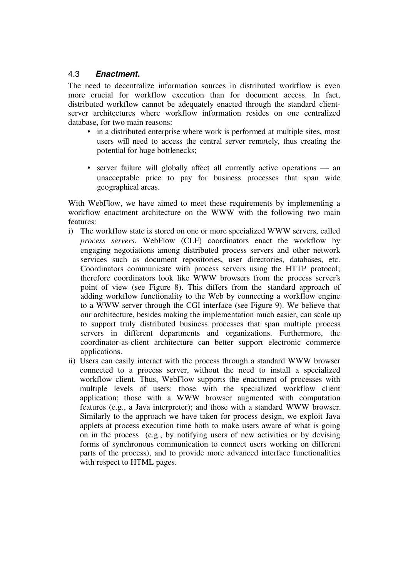### 4.3 Enactment.

The need to decentralize information sources in distributed workflow is even more crucial for workflow execution than for document access. In fact, distributed workflow cannot be adequately enacted through the standard clientserver architectures where workflow information resides on one centralized database, for two main reasons:

- in a distributed enterprise where work is performed at multiple sites, most users will need to access the central server remotely, thus creating the potential for huge bottlenecks;
- server failure will globally affect all currently active operations  $-$  an unacceptable price to pay for business processes that span wide geographical areas.

With WebFlow, we have aimed to meet these requirements by implementing a workflow enactment architecture on the WWW with the following two main features:

- i) The workflow state is stored on one or more specialized WWW servers, called process servers. WebFlow (CLF) coordinators enact the workflow by engaging negotiations among distributed process servers and other network services such as document repositories, user directories, databases, etc. Coordinators communicate with process servers using the HTTP protocol; therefore coordinators look like WWW browsers from the process server's point of view (see Figure 8). This differs from the standard approach of adding workflow functionality to the Web by connecting a workflow engine to a WWW server through the CGI interface (see Figure 9). We believe that our architecture, besides making the implementation much easier, can scale up to support truly distributed business processes that span multiple process servers in different departments and organizations. Furthermore, the coordinator-as-client architecture can better support electronic commerce applications.
- ii) Users can easily interact with the process through a standard WWW browser connected to a process server, without the need to install a specialized workflow client. Thus, WebFlow supports the enactment of processes with multiple levels of users: those with the specialized workflow client application; those with a WWW browser augmented with computation features (e.g., a Java interpreter); and those with a standard WWW browser. Similarly to the approach we have taken for process design, we exploit Java applets at process execution time both to make users aware of what is going on in the process (e.g., by notifying users of new activities or by devising forms of synchronous communication to connect users working on different parts of the process), and to provide more advanced interface functionalities with respect to HTML pages.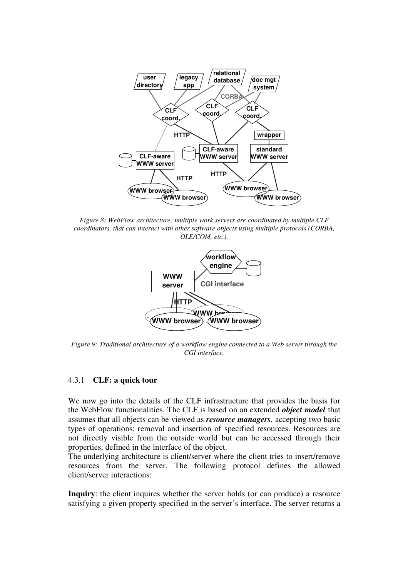

Figure 8: WebFlow architecture: multiple work servers are coordinated by multiple CLF coordinators, that can interact with other software objects using multiple protocols (CORBA, OLE/COM, etc.).



Figure 9: Traditional architecture of a workflow engine connected to a Web server through the CGI interface.

#### 4.3.1 CLF: a quick tour

We now go into the details of the CLF infrastructure that provides the basis for the WebFlow functionalities. The CLF is based on an extended *object model* that assumes that all objects can be viewed as resource managers, accepting two basic types of operations: removal and insertion of specified resources. Resources are not directly visible from the outside world but can be accessed through their properties, defined in the interface of the object.

The underlying architecture is client/server where the client tries to insert/remove resources from the server. The following protocol defines the allowed client/server interactions:

Inquiry: the client inquires whether the server holds (or can produce) a resource satisfying a given property specified in the server's interface. The server returns a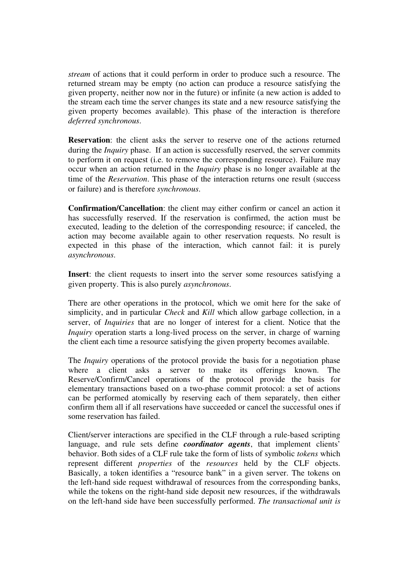stream of actions that it could perform in order to produce such a resource. The returned stream may be empty (no action can produce a resource satisfying the given property, neither now nor in the future) or infinite (a new action is added to the stream each time the server changes its state and a new resource satisfying the given property becomes available). This phase of the interaction is therefore deferred synchronous.

Reservation: the client asks the server to reserve one of the actions returned during the *Inquiry* phase. If an action is successfully reserved, the server commits to perform it on request (i.e. to remove the corresponding resource). Failure may occur when an action returned in the Inquiry phase is no longer available at the time of the *Reservation*. This phase of the interaction returns one result (success or failure) and is therefore synchronous.

Confirmation/Cancellation: the client may either confirm or cancel an action it has successfully reserved. If the reservation is confirmed, the action must be executed, leading to the deletion of the corresponding resource; if canceled, the action may become available again to other reservation requests. No result is expected in this phase of the interaction, which cannot fail: it is purely asynchronous.

Insert: the client requests to insert into the server some resources satisfying a given property. This is also purely asynchronous.

There are other operations in the protocol, which we omit here for the sake of simplicity, and in particular *Check* and *Kill* which allow garbage collection, in a server, of Inquiries that are no longer of interest for a client. Notice that the Inquiry operation starts a long-lived process on the server, in charge of warning the client each time a resource satisfying the given property becomes available.

The *Inquiry* operations of the protocol provide the basis for a negotiation phase where a client asks a server to make its offerings known. The Reserve/Confirm/Cancel operations of the protocol provide the basis for elementary transactions based on a two-phase commit protocol: a set of actions can be performed atomically by reserving each of them separately, then either confirm them all if all reservations have succeeded or cancel the successful ones if some reservation has failed.

Client/server interactions are specified in the CLF through a rule-based scripting language, and rule sets define *coordinator agents*, that implement clients' behavior. Both sides of a CLF rule take the form of lists of symbolic tokens which represent different properties of the resources held by the CLF objects. Basically, a token identifies a "resource bank" in a given server. The tokens on the left-hand side request withdrawal of resources from the corresponding banks, while the tokens on the right-hand side deposit new resources, if the withdrawals on the left-hand side have been successfully performed. The transactional unit is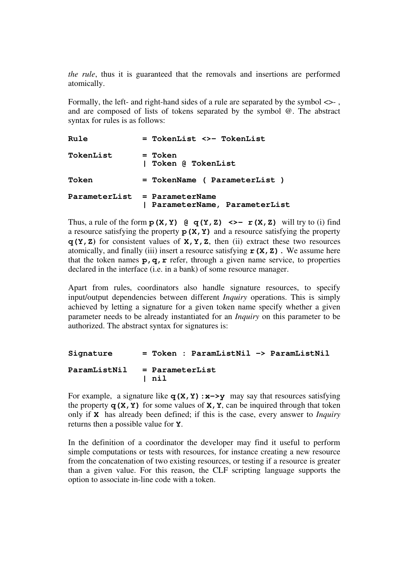the rule, thus it is guaranteed that the removals and insertions are performed atomically.

Formally, the left- and right-hand sides of a rule are separated by the symbol  $\ll$ -, and are composed of lists of tokens separated by the symbol @. The abstract syntax for rules is as follows:

| Rule      | = TokenList <>- TokenList                                       |
|-----------|-----------------------------------------------------------------|
| TokenList | = Token<br>  Token @ TokenList                                  |
| Token     | = TokenName ( ParameterList )                                   |
|           | ParameterList = ParameterName<br>  ParameterName, ParameterList |

Thus, a rule of the form  $p(X, Y)$   $\theta q(Y, Z) \leq -r(X, Z)$  will try to (i) find a resource satisfying the property  $p(X, Y)$  and a resource satisfying the property  $q(Y, Z)$  for consistent values of  $X, Y, Z$ , then (ii) extract these two resources atomically, and finally (iii) insert a resource satisfying  $\mathbf{r}(\mathbf{X}, \mathbf{Z})$ . We assume here that the token names  $\mathbf{p}, \mathbf{q}, \mathbf{r}$  refer, through a given name service, to properties declared in the interface (i.e. in a bank) of some resource manager.

Apart from rules, coordinators also handle signature resources, to specify input/output dependencies between different Inquiry operations. This is simply achieved by letting a signature for a given token name specify whether a given parameter needs to be already instantiated for an Inquiry on this parameter to be authorized. The abstract syntax for signatures is:

# Signature = Token : ParamListNil -> ParamListNil ParamListNil = ParameterList | nil

For example, a signature like  $q(X, Y): x \rightarrow y$  may say that resources satisfying the property  $q(X, Y)$  for some values of  $X, Y$ , can be inquired through that token only if  $X$  has already been defined; if this is the case, every answer to *Inquiry* returns then a possible value for Y.

In the definition of a coordinator the developer may find it useful to perform simple computations or tests with resources, for instance creating a new resource from the concatenation of two existing resources, or testing if a resource is greater than a given value. For this reason, the CLF scripting language supports the option to associate in-line code with a token.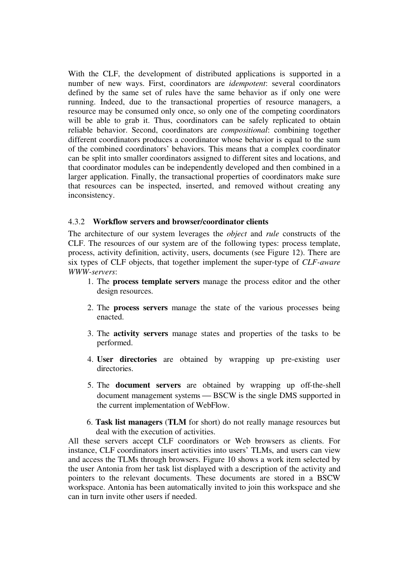With the CLF, the development of distributed applications is supported in a number of new ways. First, coordinators are idempotent: several coordinators defined by the same set of rules have the same behavior as if only one were running. Indeed, due to the transactional properties of resource managers, a resource may be consumed only once, so only one of the competing coordinators will be able to grab it. Thus, coordinators can be safely replicated to obtain reliable behavior. Second, coordinators are compositional: combining together different coordinators produces a coordinator whose behavior is equal to the sum of the combined coordinators' behaviors. This means that a complex coordinator can be split into smaller coordinators assigned to different sites and locations, and that coordinator modules can be independently developed and then combined in a larger application. Finally, the transactional properties of coordinators make sure that resources can be inspected, inserted, and removed without creating any inconsistency.

#### 4.3.2 Workflow servers and browser/coordinator clients

The architecture of our system leverages the object and rule constructs of the CLF. The resources of our system are of the following types: process template, process, activity definition, activity, users, documents (see Figure 12). There are six types of CLF objects, that together implement the super-type of CLF-aware WWW-servers:

- 1. The process template servers manage the process editor and the other design resources.
- 2. The process servers manage the state of the various processes being enacted.
- 3. The activity servers manage states and properties of the tasks to be performed.
- 4. User directories are obtained by wrapping up pre-existing user directories.
- 5. The document servers are obtained by wrapping up off-the-shell document management systems — BSCW is the single DMS supported in the current implementation of WebFlow.
- 6. Task list managers (TLM for short) do not really manage resources but deal with the execution of activities.

All these servers accept CLF coordinators or Web browsers as clients. For instance, CLF coordinators insert activities into users' TLMs, and users can view and access the TLMs through browsers. Figure 10 shows a work item selected by the user Antonia from her task list displayed with a description of the activity and pointers to the relevant documents. These documents are stored in a BSCW workspace. Antonia has been automatically invited to join this workspace and she can in turn invite other users if needed.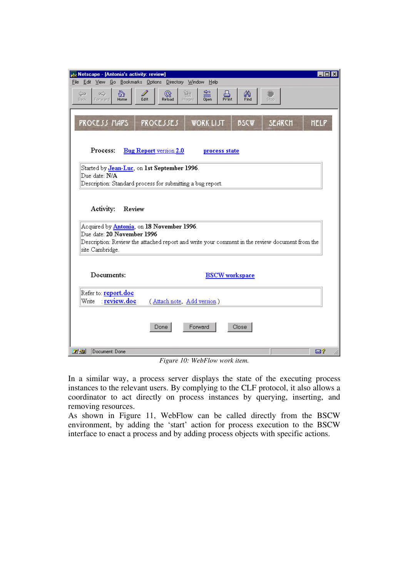| Netscape - [Antonia's activity: review]                                                                                                                                                                                     | ⊥I⊓I × |  |  |  |
|-----------------------------------------------------------------------------------------------------------------------------------------------------------------------------------------------------------------------------|--------|--|--|--|
| File Edit View Go Bookmarks Options Directory Window Help                                                                                                                                                                   |        |  |  |  |
| 豓<br>⚠<br>铯<br>$\bigotimes$ Reload<br>otl)<br>$\frac{1}{2}$<br>Print<br>崩<br>Find<br><br>bα<br>Edit<br>Stop<br>                                                                                                             |        |  |  |  |
| <b>PROCESS MAPS</b><br><b>PROCESSES</b><br><b>WORK LIST</b><br><b>SEARCH</b><br><b>BSCW</b><br><b>HELP</b>                                                                                                                  |        |  |  |  |
| Process:<br><b>Bug Report version 2.0</b><br>process state                                                                                                                                                                  |        |  |  |  |
| Started by Jean-Luc, on 1st September 1996.<br>Due date: N/A<br>Description: Standard process for submitting a bug report.                                                                                                  |        |  |  |  |
| Activity:<br>Review<br>Acquired by <u>Antonia</u> , on 18 November 1996.<br>Due date: 20 November 1996<br>Description: Review the attached report and write your comment in the review document from the<br>site Cambridge. |        |  |  |  |
| Documents:<br><b>BSCW</b> workspace                                                                                                                                                                                         |        |  |  |  |
| Refer to: report.doc<br>review.doc<br>Write<br>(Attach note, Add version)                                                                                                                                                   |        |  |  |  |
| Forward<br>Close<br>Done                                                                                                                                                                                                    |        |  |  |  |
| 同期<br>Document: Done<br>⊠?                                                                                                                                                                                                  |        |  |  |  |

Figure 10: WebFlow work item.

In a similar way, a process server displays the state of the executing process instances to the relevant users. By complying to the CLF protocol, it also allows a coordinator to act directly on process instances by querying, inserting, and removing resources.

As shown in Figure 11, WebFlow can be called directly from the BSCW environment, by adding the 'start' action for process execution to the BSCW interface to enact a process and by adding process objects with specific actions.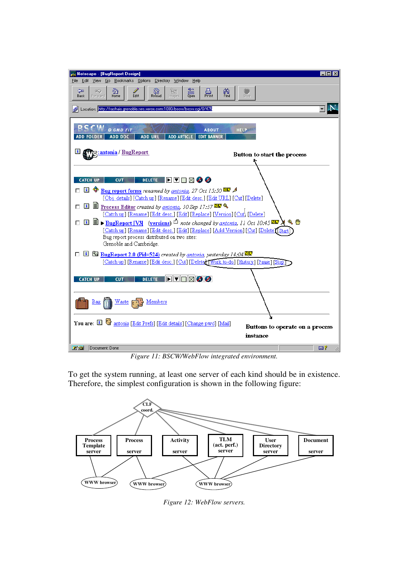| Netscape - [BugReport Design]                                                                                                                                                                                              |                                 |  |  |
|----------------------------------------------------------------------------------------------------------------------------------------------------------------------------------------------------------------------------|---------------------------------|--|--|
| File Edit View Go Bookmarks Options Directory Window Help                                                                                                                                                                  |                                 |  |  |
| dae<br>2009<br>Open<br>☆<br>靜<br>昌<br>Print<br>崩<br>Find<br>⊲⇔<br>95)<br>ଝ<br>Edit<br>Reload<br><b>Back</b><br>Forward<br>Home<br>Images                                                                                   | U<br>Stop                       |  |  |
| Location: http://rachais.grenoble.rxrc.xerox.com:1080/bscw/bscw.cgi/0/475                                                                                                                                                  |                                 |  |  |
|                                                                                                                                                                                                                            |                                 |  |  |
| SCW<br>© GMD FIT<br><b>ABOUT</b><br>ADD DOC<br><b>ADD URL</b><br><b>ADD ARTICLE</b><br><b>EDIT BANNER</b><br><b>ADD FOLDER</b>                                                                                             | <b>HELPARK</b>                  |  |  |
|                                                                                                                                                                                                                            |                                 |  |  |
| <u>: antonia / BugReport</u>                                                                                                                                                                                               | Button to start the process     |  |  |
|                                                                                                                                                                                                                            |                                 |  |  |
| <b>DELETE</b> FFTTX O<br><b>CUT</b><br><b>CATCH UP</b>                                                                                                                                                                     |                                 |  |  |
| <b>Example 15:50 RM</b> Bug report forms renamed by antonia, 27 Oct 15:50 RM<br> i                                                                                                                                         |                                 |  |  |
| [Obj. details] [Catch up] [Rename] [Edit desc.] [Edit URL] [Cut] [Delete]                                                                                                                                                  |                                 |  |  |
| <b>ii ii</b> Process Editor created by antonia, 30 Sep 17:37 <b>IEP</b><br>[Catch up] [Rename] [Edit desc.] [Edit] [Replace] [Version] [Cut] [Delete]                                                                      |                                 |  |  |
| <b>1</b> $\blacksquare$ $\blacktriangleright$ <b>BugReport [V3]</b> (versions) <sup><math>\triangle</math></sup> note changed by antonia, 11 Oct 10:45 $\blacksquare$ $\blacktriangleright$ <b>Q</b> , $\blacksquare$<br>п |                                 |  |  |
| [Catch up] [Rename] [Edit desc.] [Edit] [Replace] [Add Version] [Cut] [Delete] [Start]                                                                                                                                     |                                 |  |  |
| Bug report process distributed on two sites:<br>Grenoble and Cambridge.                                                                                                                                                    |                                 |  |  |
| $\Box$ $\Box$ BugReport 2.0 (Fid=524) created by antonia, yesterday 14:04 $\Box$<br>П.                                                                                                                                     |                                 |  |  |
| [Catch up] [Rename] [Edit desc.] [Cut] [Delete] [Work to-do] [History] [Pause] [Stop]                                                                                                                                      |                                 |  |  |
|                                                                                                                                                                                                                            |                                 |  |  |
| dfex0<br><b>DELETE</b><br><b>CATCH UP</b><br><b>CUT</b>                                                                                                                                                                    |                                 |  |  |
|                                                                                                                                                                                                                            |                                 |  |  |
| Bag <b>Maste Nembers</b>                                                                                                                                                                                                   |                                 |  |  |
|                                                                                                                                                                                                                            |                                 |  |  |
| You are: [1] $\mathbf{Q}$ antonia [Edit Prefs] [Edit details] [Change pwd] [Mail]                                                                                                                                          | Buttons to operate on a process |  |  |
|                                                                                                                                                                                                                            | instance                        |  |  |
| 同切<br>Document: Done                                                                                                                                                                                                       | ⊠?                              |  |  |
|                                                                                                                                                                                                                            |                                 |  |  |

Figure 11: BSCW/WebFlow integrated environment.

To get the system running, at least one server of each kind should be in existence. Therefore, the simplest configuration is shown in the following figure:



Figure 12: WebFlow servers.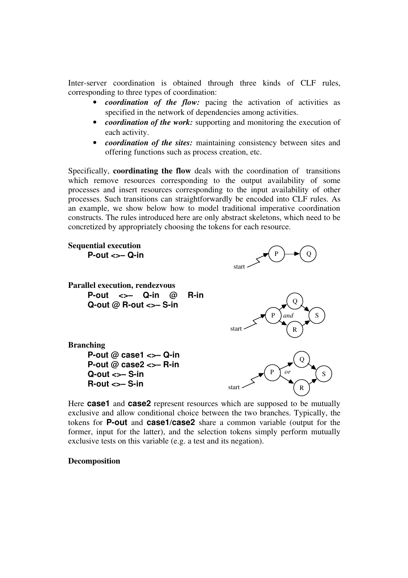Inter-server coordination is obtained through three kinds of CLF rules, corresponding to three types of coordination:

- *coordination of the flow:* pacing the activation of activities as specified in the network of dependencies among activities.
- *coordination of the work:* supporting and monitoring the execution of each activity.
- *coordination of the sites:* maintaining consistency between sites and offering functions such as process creation, etc.

Specifically, coordinating the flow deals with the coordination of transitions which remove resources corresponding to the output availability of some processes and insert resources corresponding to the input availability of other processes. Such transitions can straightforwardly be encoded into CLF rules. As an example, we show below how to model traditional imperative coordination constructs. The rules introduced here are only abstract skeletons, which need to be concretized by appropriately choosing the tokens for each resource.



Here **case1** and **case2** represent resources which are supposed to be mutually exclusive and allow conditional choice between the two branches. Typically, the tokens for P-out and case1/case2 share a common variable (output for the former, input for the latter), and the selection tokens simply perform mutually exclusive tests on this variable (e.g. a test and its negation).

#### Decomposition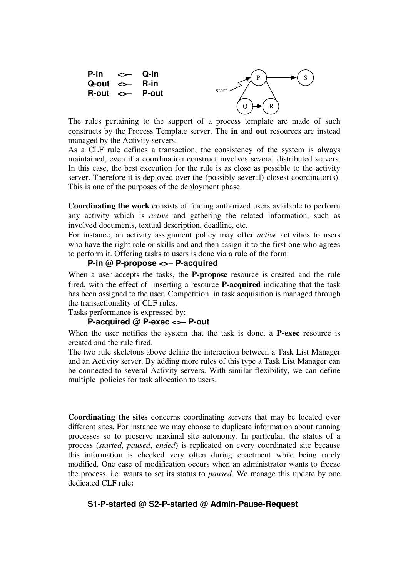

The rules pertaining to the support of a process template are made of such constructs by the Process Template server. The in and out resources are instead managed by the Activity servers.

As a CLF rule defines a transaction, the consistency of the system is always maintained, even if a coordination construct involves several distributed servers. In this case, the best execution for the rule is as close as possible to the activity server. Therefore it is deployed over the (possibly several) closest coordinator(s). This is one of the purposes of the deployment phase.

Coordinating the work consists of finding authorized users available to perform any activity which is active and gathering the related information, such as involved documents, textual description, deadline, etc.

For instance, an activity assignment policy may offer active activities to users who have the right role or skills and and then assign it to the first one who agrees to perform it. Offering tasks to users is done via a rule of the form:

#### P-in @ P-propose <>– P-acquired

When a user accepts the tasks, the **P-propose** resource is created and the rule fired, with the effect of inserting a resource P-acquired indicating that the task has been assigned to the user. Competition in task acquisition is managed through the transactionality of CLF rules.

Tasks performance is expressed by:

#### P-acquired @ P-exec <>– P-out

When the user notifies the system that the task is done, a **P-exec** resource is created and the rule fired.

The two rule skeletons above define the interaction between a Task List Manager and an Activity server. By adding more rules of this type a Task List Manager can be connected to several Activity servers. With similar flexibility, we can define multiple policies for task allocation to users.

Coordinating the sites concerns coordinating servers that may be located over different sites. For instance we may choose to duplicate information about running processes so to preserve maximal site autonomy. In particular, the status of a process (started, paused, ended) is replicated on every coordinated site because this information is checked very often during enactment while being rarely modified. One case of modification occurs when an administrator wants to freeze the process, i.e. wants to set its status to paused. We manage this update by one dedicated CLF rule:

### S1-P-started @ S2-P-started @ Admin-Pause-Request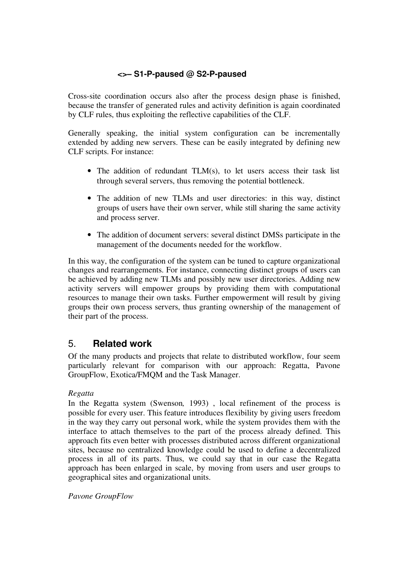# <>– S1-P-paused @ S2-P-paused

Cross-site coordination occurs also after the process design phase is finished, because the transfer of generated rules and activity definition is again coordinated by CLF rules, thus exploiting the reflective capabilities of the CLF.

Generally speaking, the initial system configuration can be incrementally extended by adding new servers. These can be easily integrated by defining new CLF scripts. For instance:

- The addition of redundant TLM(s), to let users access their task list through several servers, thus removing the potential bottleneck.
- The addition of new TLMs and user directories: in this way, distinct groups of users have their own server, while still sharing the same activity and process server.
- The addition of document servers: several distinct DMSs participate in the management of the documents needed for the workflow.

In this way, the configuration of the system can be tuned to capture organizational changes and rearrangements. For instance, connecting distinct groups of users can be achieved by adding new TLMs and possibly new user directories. Adding new activity servers will empower groups by providing them with computational resources to manage their own tasks. Further empowerment will result by giving groups their own process servers, thus granting ownership of the management of their part of the process.

# 5. Related work

Of the many products and projects that relate to distributed workflow, four seem particularly relevant for comparison with our approach: Regatta, Pavone GroupFlow, Exotica/FMQM and the Task Manager.

### Regatta

In the Regatta system (Swenson, 1993) , local refinement of the process is possible for every user. This feature introduces flexibility by giving users freedom in the way they carry out personal work, while the system provides them with the interface to attach themselves to the part of the process already defined. This approach fits even better with processes distributed across different organizational sites, because no centralized knowledge could be used to define a decentralized process in all of its parts. Thus, we could say that in our case the Regatta approach has been enlarged in scale, by moving from users and user groups to geographical sites and organizational units.

Pavone GroupFlow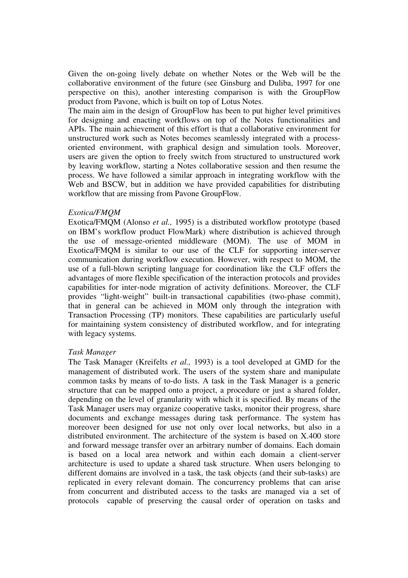Given the on-going lively debate on whether Notes or the Web will be the collaborative environment of the future (see Ginsburg and Duliba, 1997 for one perspective on this), another interesting comparison is with the GroupFlow product from Pavone, which is built on top of Lotus Notes.

The main aim in the design of GroupFlow has been to put higher level primitives for designing and enacting workflows on top of the Notes functionalities and APIs. The main achievement of this effort is that a collaborative environment for unstructured work such as Notes becomes seamlessly integrated with a processoriented environment, with graphical design and simulation tools. Moreover, users are given the option to freely switch from structured to unstructured work by leaving workflow, starting a Notes collaborative session and then resume the process. We have followed a similar approach in integrating workflow with the Web and BSCW, but in addition we have provided capabilities for distributing workflow that are missing from Pavone GroupFlow.

#### Exotica/FMQM

Exotica/FMQM (Alonso et al., 1995) is a distributed workflow prototype (based on IBM's workflow product FlowMark) where distribution is achieved through the use of message-oriented middleware (MOM). The use of MOM in Exotica/FMQM is similar to our use of the CLF for supporting inter-server communication during workflow execution. However, with respect to MOM, the use of a full-blown scripting language for coordination like the CLF offers the advantages of more flexible specification of the interaction protocols and provides capabilities for inter-node migration of activity definitions. Moreover, the CLF provides "light-weight" built-in transactional capabilities (two-phase commit), that in general can be achieved in MOM only through the integration with Transaction Processing (TP) monitors. These capabilities are particularly useful for maintaining system consistency of distributed workflow, and for integrating with legacy systems.

#### Task Manager

The Task Manager (Kreifelts *et al.*, 1993) is a tool developed at GMD for the management of distributed work. The users of the system share and manipulate common tasks by means of to-do lists. A task in the Task Manager is a generic structure that can be mapped onto a project, a procedure or just a shared folder, depending on the level of granularity with which it is specified. By means of the Task Manager users may organize cooperative tasks, monitor their progress, share documents and exchange messages during task performance. The system has moreover been designed for use not only over local networks, but also in a distributed environment. The architecture of the system is based on X.400 store and forward message transfer over an arbitrary number of domains. Each domain is based on a local area network and within each domain a client-server architecture is used to update a shared task structure. When users belonging to different domains are involved in a task, the task objects (and their sub-tasks) are replicated in every relevant domain. The concurrency problems that can arise from concurrent and distributed access to the tasks are managed via a set of protocols capable of preserving the causal order of operation on tasks and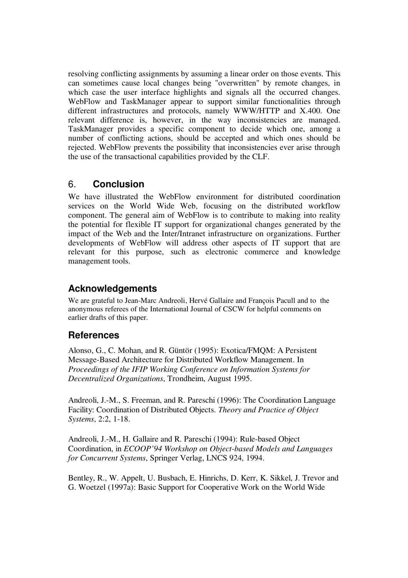resolving conflicting assignments by assuming a linear order on those events. This can sometimes cause local changes being "overwritten" by remote changes, in which case the user interface highlights and signals all the occurred changes. WebFlow and TaskManager appear to support similar functionalities through different infrastructures and protocols, namely WWW/HTTP and X.400. One relevant difference is, however, in the way inconsistencies are managed. TaskManager provides a specific component to decide which one, among a number of conflicting actions, should be accepted and which ones should be rejected. WebFlow prevents the possibility that inconsistencies ever arise through the use of the transactional capabilities provided by the CLF.

# 6. Conclusion

We have illustrated the WebFlow environment for distributed coordination services on the World Wide Web, focusing on the distributed workflow component. The general aim of WebFlow is to contribute to making into reality the potential for flexible IT support for organizational changes generated by the impact of the Web and the Inter/Intranet infrastructure on organizations. Further developments of WebFlow will address other aspects of IT support that are relevant for this purpose, such as electronic commerce and knowledge management tools.

# Acknowledgements

We are grateful to Jean-Marc Andreoli, Hervé Gallaire and François Pacull and to the anonymous referees of the International Journal of CSCW for helpful comments on earlier drafts of this paper.

# References

Alonso, G., C. Mohan, and R. Güntör (1995): Exotica/FMQM: A Persistent Message-Based Architecture for Distributed Workflow Management. In Proceedings of the IFIP Working Conference on Information Systems for Decentralized Organizations, Trondheim, August 1995.

Andreoli, J.-M., S. Freeman, and R. Pareschi (1996): The Coordination Language Facility: Coordination of Distributed Objects. Theory and Practice of Object Systems, 2:2, 1-18.

Andreoli, J.-M., H. Gallaire and R. Pareschi (1994): Rule-based Object Coordination, in ECOOP'94 Workshop on Object-based Models and Languages for Concurrent Systems, Springer Verlag, LNCS 924, 1994.

Bentley, R., W. Appelt, U. Busbach, E. Hinrichs, D. Kerr, K. Sikkel, J. Trevor and G. Woetzel (1997a): Basic Support for Cooperative Work on the World Wide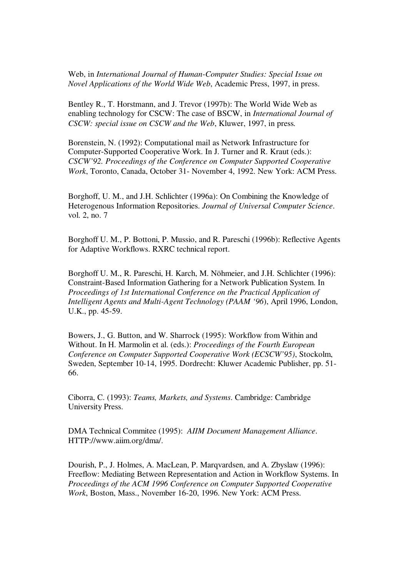Web, in International Journal of Human-Computer Studies: Special Issue on Novel Applications of the World Wide Web, Academic Press, 1997, in press.

Bentley R., T. Horstmann, and J. Trevor (1997b): The World Wide Web as enabling technology for CSCW: The case of BSCW, in International Journal of CSCW: special issue on CSCW and the Web, Kluwer, 1997, in press.

Borenstein, N. (1992): Computational mail as Network Infrastructure for Computer-Supported Cooperative Work. In J. Turner and R. Kraut (eds.): CSCW'92. Proceedings of the Conference on Computer Supported Cooperative Work, Toronto, Canada, October 31- November 4, 1992. New York: ACM Press.

Borghoff, U. M., and J.H. Schlichter (1996a): On Combining the Knowledge of Heterogenous Information Repositories. Journal of Universal Computer Science. vol. 2, no. 7

Borghoff U. M., P. Bottoni, P. Mussio, and R. Pareschi (1996b): Reflective Agents for Adaptive Workflows. RXRC technical report.

Borghoff U. M., R. Pareschi, H. Karch, M. Nöhmeier, and J.H. Schlichter (1996): Constraint-Based Information Gathering for a Network Publication System. In Proceedings of 1st International Conference on the Practical Application of Intelligent Agents and Multi-Agent Technology (PAAM '96), April 1996, London, U.K., pp. 45-59.

Bowers, J., G. Button, and W. Sharrock (1995): Workflow from Within and Without. In H. Marmolin et al. (eds.): Proceedings of the Fourth European Conference on Computer Supported Cooperative Work (ECSCW'95), Stockolm, Sweden, September 10-14, 1995. Dordrecht: Kluwer Academic Publisher, pp. 51- 66.

Ciborra, C. (1993): Teams, Markets, and Systems. Cambridge: Cambridge University Press.

DMA Technical Commitee (1995): AIIM Document Management Alliance. HTTP://www.aiim.org/dma/.

Dourish, P., J. Holmes, A. MacLean, P. Marqvardsen, and A. Zbyslaw (1996): Freeflow: Mediating Between Representation and Action in Workflow Systems. In Proceedings of the ACM 1996 Conference on Computer Supported Cooperative Work, Boston, Mass., November 16-20, 1996. New York: ACM Press.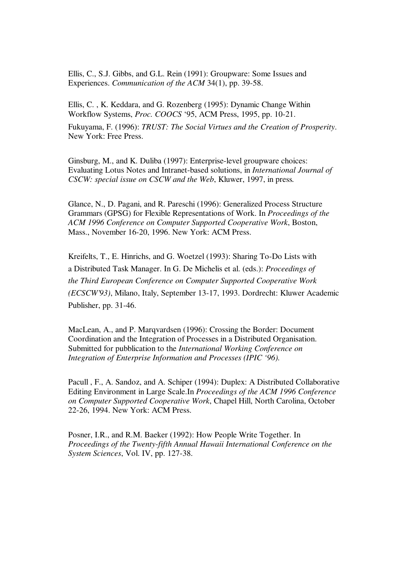Ellis, C., S.J. Gibbs, and G.L. Rein (1991): Groupware: Some Issues and Experiences. Communication of the ACM 34(1), pp. 39-58.

Ellis, C. , K. Keddara, and G. Rozenberg (1995): Dynamic Change Within Workflow Systems, Proc. COOCS '95, ACM Press, 1995, pp. 10-21.

Fukuyama, F. (1996): TRUST: The Social Virtues and the Creation of Prosperity. New York: Free Press.

Ginsburg, M., and K. Duliba (1997): Enterprise-level groupware choices: Evaluating Lotus Notes and Intranet-based solutions, in International Journal of CSCW: special issue on CSCW and the Web, Kluwer, 1997, in press.

Glance, N., D. Pagani, and R. Pareschi (1996): Generalized Process Structure Grammars (GPSG) for Flexible Representations of Work. In Proceedings of the ACM 1996 Conference on Computer Supported Cooperative Work, Boston, Mass., November 16-20, 1996. New York: ACM Press.

Kreifelts, T., E. Hinrichs, and G. Woetzel (1993): Sharing To-Do Lists with a Distributed Task Manager. In G. De Michelis et al. (eds.): Proceedings of the Third European Conference on Computer Supported Cooperative Work (ECSCW'93), Milano, Italy, September 13-17, 1993. Dordrecht: Kluwer Academic Publisher, pp. 31-46.

MacLean, A., and P. Marqvardsen (1996): Crossing the Border: Document Coordination and the Integration of Processes in a Distributed Organisation. Submitted for pubblication to the International Working Conference on Integration of Enterprise Information and Processes (IPIC '96).

Pacull , F., A. Sandoz, and A. Schiper (1994): Duplex: A Distributed Collaborative Editing Environment in Large Scale.In Proceedings of the ACM 1996 Conference on Computer Supported Cooperative Work, Chapel Hill, North Carolina, October 22-26, 1994. New York: ACM Press.

Posner, I.R., and R.M. Baeker (1992): How People Write Together. In Proceedings of the Twenty-fifth Annual Hawaii International Conference on the System Sciences, Vol. IV, pp. 127-38.